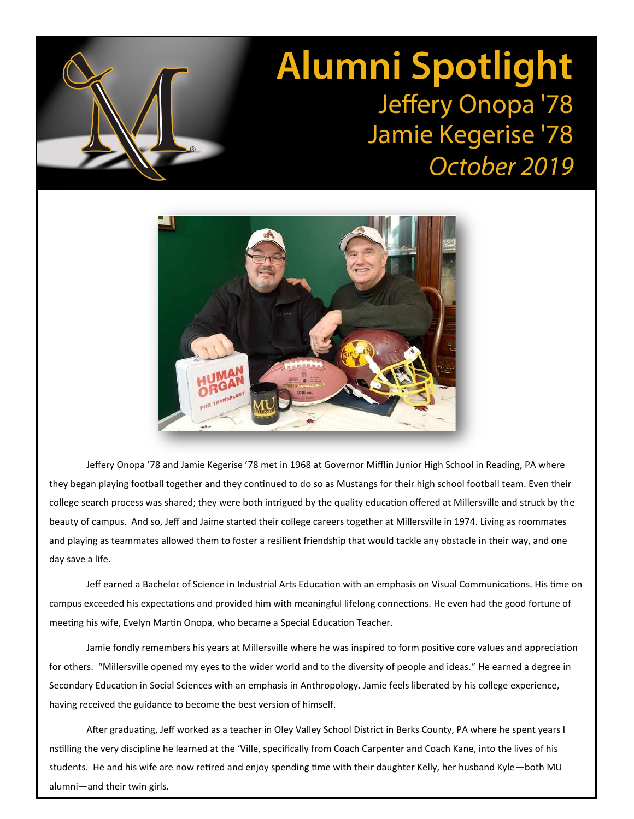## **Alumni Spotlight** Jeffery Onopa '78 Jamie Kegerise '78 October 2019



Jeffery Onopa '78 and Jamie Kegerise '78 met in 1968 at Governor Mifflin Junior High School in Reading, PA where they began playing football together and they continued to do so as Mustangs for their high school football team. Even their college search process was shared; they were both intrigued by the quality education offered at Millersville and struck by the beauty of campus. And so, Jeff and Jaime started their college careers together at Millersville in 1974. Living as roommates and playing as teammates allowed them to foster a resilient friendship that would tackle any obstacle in their way, and one day save a life.

Jeff earned a Bachelor of Science in Industrial Arts Education with an emphasis on Visual Communications. His time on campus exceeded his expectations and provided him with meaningful lifelong connections. He even had the good fortune of meeting his wife, Evelyn Martin Onopa, who became a Special Education Teacher.

Jamie fondly remembers his years at Millersville where he was inspired to form positive core values and appreciation for others. "Millersville opened my eyes to the wider world and to the diversity of people and ideas." He earned a degree in Secondary Education in Social Sciences with an emphasis in Anthropology. Jamie feels liberated by his college experience, having received the guidance to become the best version of himself.

After graduating, Jeff worked as a teacher in Oley Valley School District in Berks County, PA where he spent years I nstilling the very discipline he learned at the 'Ville, specifically from Coach Carpenter and Coach Kane, into the lives of his students. He and his wife are now retired and enjoy spending time with their daughter Kelly, her husband Kyle—both MU alumni—and their twin girls.